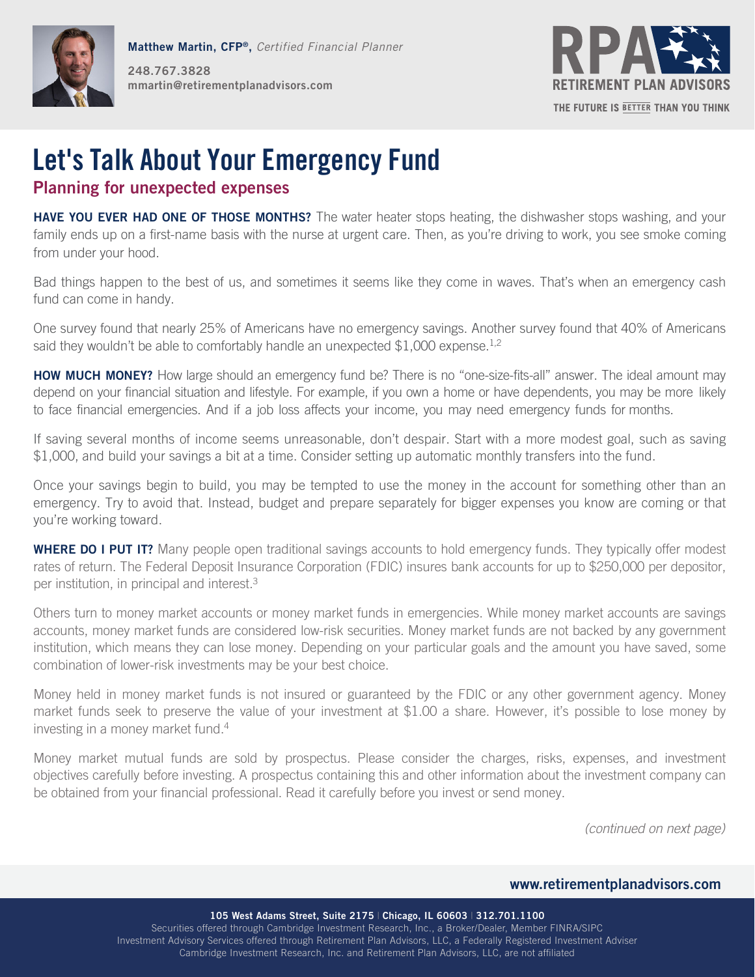

**Matthew Martin, CFP®,** *Certified Financial Planner* **248.767.3828 mmartin@retirementplanadvisors.com**



# **Let's Talk About Your Emergency Fund**

## **Planning for unexpected expenses**

**HAVE YOU EVER HAD ONE OF THOSE MONTHS?** The water heater stops heating, the dishwasher stops washing, and your family ends up on a first-name basis with the nurse at urgent care. Then, as you're driving to work, you see smoke coming from under your hood.

Bad things happen to the best of us, and sometimes it seems like they come in waves. That's when an emergency cash fund can come in handy.

One survey found that nearly 25% of Americans have no emergency savings. Another survey found that 40% of Americans said they wouldn't be able to comfortably handle an unexpected \$1,000 expense.<sup>1,2</sup>

**HOW MUCH MONEY?** How large should an emergency fund be? There is no "one-size-fits-all" answer. The ideal amount may depend on your financial situation and lifestyle. For example, if you own a home or have dependents, you may be more likely to face financial emergencies. And if a job loss affects your income, you may need emergency funds for months.

If saving several months of income seems unreasonable, don't despair. Start with a more modest goal, such as saving \$1,000, and build your savings a bit at a time. Consider setting up automatic monthly transfers into the fund.

Once your savings begin to build, you may be tempted to use the money in the account for something other than an emergency. Try to avoid that. Instead, budget and prepare separately for bigger expenses you know are coming or that you're working toward.

**WHERE DO I PUT IT?** Many people open traditional savings accounts to hold emergency funds. They typically offer modest rates of return. The Federal Deposit Insurance Corporation (FDIC) insures bank accounts for up to \$250,000 per depositor, per institution, in principal and interest.<sup>3</sup>

Others turn to money market accounts or money market funds in emergencies. While money market accounts are savings accounts, money market funds are considered low-risk securities. Money market funds are not backed by any government institution, which means they can lose money. Depending on your particular goals and the amount you have saved, some combination of lower-risk investments may be your best choice.

Money held in money market funds is not insured or guaranteed by the FDIC or any other government agency. Money market funds seek to preserve the value of your investment at \$1.00 a share. However, it's possible to lose money by investing in a money market fund.<sup>4</sup>

Money market mutual funds are sold by prospectus. Please consider the charges, risks, expenses, and investment objectives carefully before investing. A prospectus containing this and other information about the investment company can be obtained from your financial professional. Read it carefully before you invest or send money.

(continued on next page)

### **www.retirementplanadvisors.com**

**105 West Adams Street, Suite 2175** | **Chicago, IL 60603** | **312.701.1100** Securities offered through Cambridge Investment Research, Inc., a Broker/Dealer, Member FINRA/SIPC Investment Advisory Services offered through Retirement Plan Advisors, LLC, a Federally Registered Investment Adviser Cambridge Investment Research, Inc. and Retirement Plan Advisors, LLC, are not affiliated